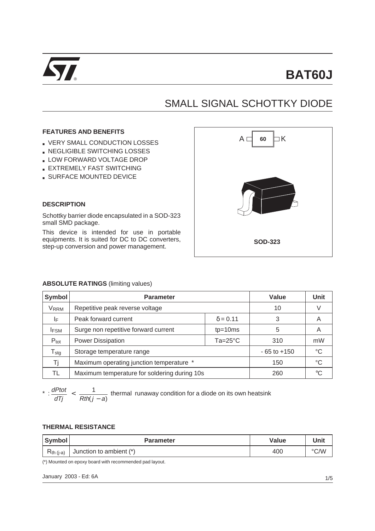

# SMALL SIGNAL SCHOTTKY DIODE

## **FEATURES AND BENEFITS**

- VERY SMALL CONDUCTION LOSSES
- **. NEGLIGIBLE SWITCHING LOSSES**
- **LOW FORWARD VOLTAGE DROP**
- **EXTREMELY FAST SWITCHING**
- **BURFACE MOUNTED DEVICE**



# **DESCRIPTION**

Schottky barrier diode encapsulated in a SOD-323 small SMD package.

This device is intended for use in portable equipments. It is suited for DC to DC converters, step-up conversion and power management.

### **ABSOLUTE RATINGS** (limiting values)

| Symbol                      | <b>Parameter</b>                               | Value           | <b>Unit</b> |    |
|-----------------------------|------------------------------------------------|-----------------|-------------|----|
| <b>VRRM</b>                 | Repetitive peak reverse voltage                | 10              |             |    |
| ΙF                          | Peak forward current                           | 3               | A           |    |
| <b>IFSM</b>                 | Surge non repetitive forward current           | 5               | A           |    |
| $P_{\text{tot}}$            | <b>Power Dissipation</b><br>$Ta = 25^{\circ}C$ |                 | 310         | mW |
| $\mathsf{T}_{\textsf{stg}}$ | Storage temperature range                      | $-65$ to $+150$ | °C          |    |
| Τi                          | Maximum operating junction temperature *       | 150             | °C          |    |
| TL                          | Maximum temperature for soldering during 10s   |                 | 260         | ം  |

 $\frac{dPtot}{dt}$  $\frac{dP}{dT}$   $\leq$   $\frac{1}{Rth(j - a)}$  thermal runaway condition for a diode on its own heatsink

#### **THERMAL RESISTANCE**

| Symbol         | <b>Parameter</b>        | Value | Unit |
|----------------|-------------------------|-------|------|
| $R_{th (i-a)}$ | Junction to ambient (*) | 400   | °C/W |

(\*) Mounted on epoxy board with recommended pad layout.

January 2003 - Ed: 6A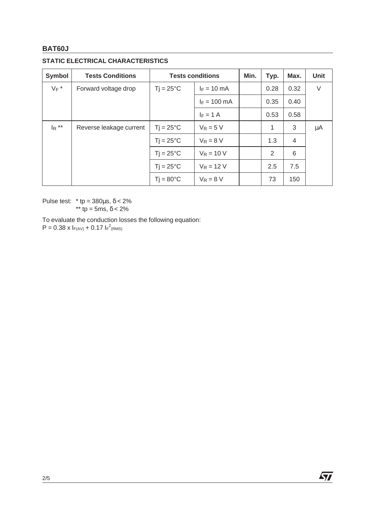# **BAT60J**

# **STATIC ELECTRICAL CHARACTERISTICS**

| <b>Symbol</b> | <b>Tests Conditions</b> | <b>Tests conditions</b>         |                      | Min. | Typ. | Max. | <b>Unit</b> |
|---------------|-------------------------|---------------------------------|----------------------|------|------|------|-------------|
| $V_F$ *       | Forward voltage drop    | $T$ j = 25 $\mathrm{^{\circ}C}$ | $I_F = 10$ mA        |      | 0.28 | 0.32 | V           |
|               |                         |                                 | $F = 100 \text{ mA}$ |      | 0.35 | 0.40 |             |
|               |                         |                                 | $I_F = 1 A$          |      | 0.53 | 0.58 |             |
| $I_R$ **      | Reverse leakage current | $Ti = 25^{\circ}C$              | $V_R = 5 V$          |      | 1    | 3    | μA          |
|               |                         | $T$ j = 25 $\mathrm{^{\circ}C}$ | $V_R = 8 V$          |      | 1.3  | 4    |             |
|               |                         | $T$ j = 25 $\mathrm{^{\circ}C}$ | $V_R = 10 V$         |      | 2    | 6    |             |
|               |                         | $Ti = 25^{\circ}C$              | $V_R = 12 V$         |      | 2.5  | 7.5  |             |
|               |                         | $T$ j = 80 $\degree$ C          | $V_R = 8 V$          |      | 73   | 150  |             |

Pulse test:  $*$  tp = 380 $\mu$ s,  $\delta$  < 2% \*\* tp = 5ms,  $δ < 2%$ 

To evaluate the conduction losses the following equation:

 $P = 0.38 \times I_{F(AV)} + 0.17 I_{F}^{2}$ (RMS)

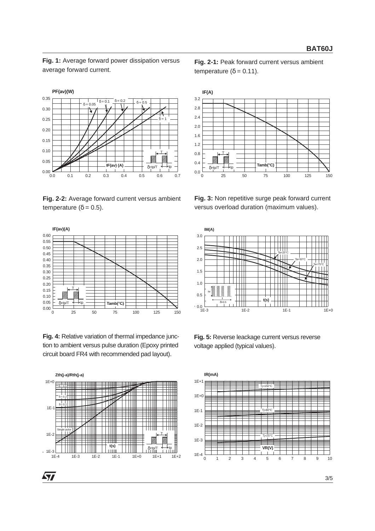**Fig. 1:** Average forward power dissipation versus average forward current.



**Fig. 2-2:** Average forward current versus ambient temperature ( $δ = 0.5$ ).



**Fig. 4:** Relative variation of thermal impedance junction to ambient versus pulse duration (Epoxy printed circuit board FR4 with recommended pad layout).



57

**Fig. 2-1:** Peak forward current versus ambient temperature ( $δ = 0.11$ ).



**Fig. 3:** Non repetitive surge peak forward current versus overload duration (maximum values).



**Fig. 5:** Reverse leackage current versus reverse voltage applied (typical values).

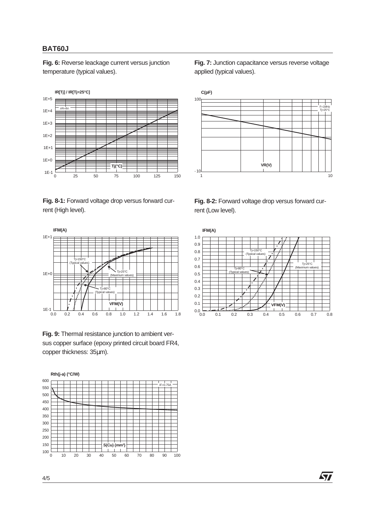# **BAT60J**

**Fig. 6:** Reverse leackage current versus junction temperature (typical values).



**Fig. 8-1:** Forward voltage drop versus forward current (High level).



**Fig. 9:** Thermal resistance junction to ambient versus copper surface (epoxy printed circuit board FR4, copper thickness: 35µm).



**Fig. 7:** Junction capacitance versus reverse voltage applied (typical values).



**Fig. 8-2:** Forward voltage drop versus forward current (Low level).



57